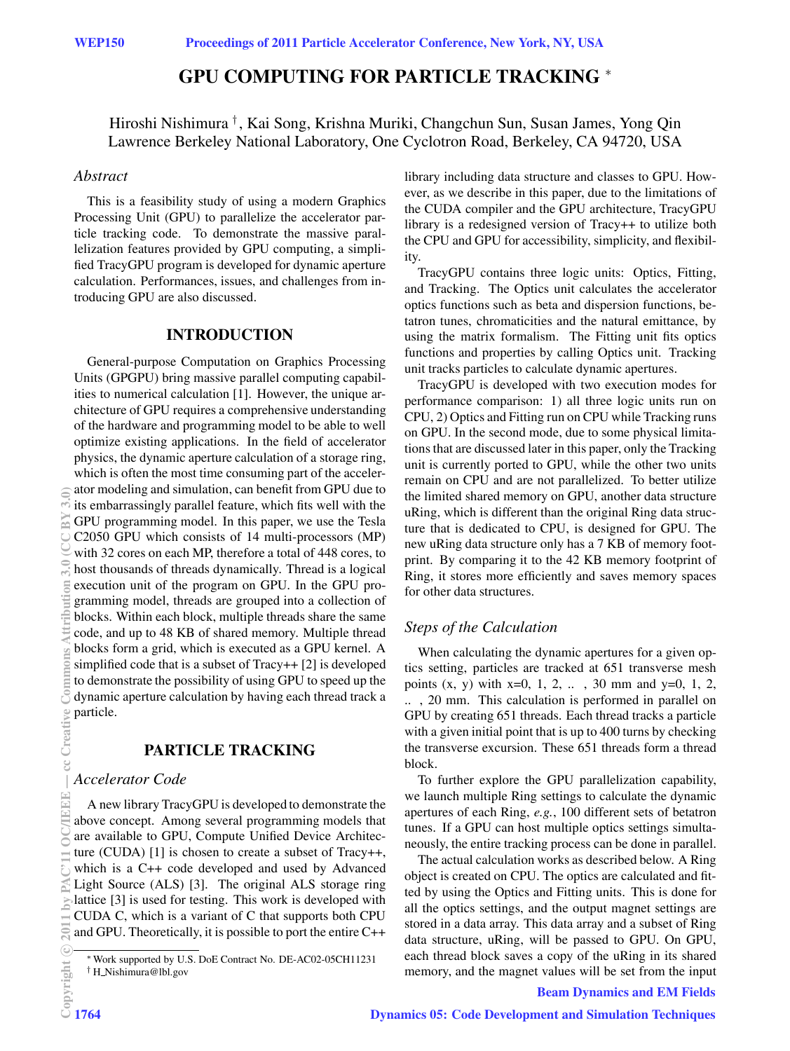# **GPU COMPUTING FOR PARTICLE TRACKING** <sup>∗</sup>

Hiroshi Nishimura *†* , Kai Song, Krishna Muriki, Changchun Sun, Susan James, Yong Qin Lawrence Berkeley National Laboratory, One Cyclotron Road, Berkeley, CA 94720, USA

## *Abstract*

This is a feasibility study of using a modern Graphics Processing Unit (GPU) to parallelize the accelerator particle tracking code. To demonstrate the massive parallelization features provided by GPU computing, a simplified TracyGPU program is developed for dynamic aperture calculation. Performances, issues, and challenges from introducing GPU are also discussed.

## **INTRODUCTION**

General-purpose Computation on Graphics Processing Units (GPGPU) bring massive parallel computing capabilities to numerical calculation [1]. However, the unique architecture of GPU requires a comprehensive understanding of the hardware and programming model to be able to well optimize existing applications. In the field of accelerator physics, the dynamic aperture calculation of a storage ring, which is often the most time consuming part of the accelerator modeling and simulation, can benefit from GPU due to its embarrassingly parallel feature, which fits well with the GPU programming model. In this paper, we use the Tesla C2050 GPU which consists of 14 multi-processors (MP) with 32 cores on each MP, therefore a total of 448 cores, to host thousands of threads dynamically. Thread is a logical execution unit of the program on GPU. In the GPU programming model, threads are grouped into a collection of blocks. Within each block, multiple threads share the same code, and up to 48 KB of shared memory. Multiple thread blocks form a grid, which is executed as a GPU kernel. A simplified code that is a subset of Tracy++ [2] is developed to demonstrate the possibility of using GPU to speed up the dynamic aperture calculation by having each thread track a particle.

## **PARTICLE TRACKING**

## *Accelerator Code*

A new library TracyGPU is developed to demonstrate the above concept. Among several programming models that are available to GPU, Compute Unified Device Architecture (CUDA) [1] is chosen to create a subset of Tracy++, which is a C++ code developed and used by Advanced Light Source (ALS) [3]. The original ALS storage ring lattice [3] is used for testing. This work is developed with CUDA C, which is a variant of C that supports both CPU and GPU. Theoretically, it is possible to port the entire C++ library including data structure and classes to GPU. However, as we describe in this paper, due to the limitations of the CUDA compiler and the GPU architecture, TracyGPU library is a redesigned version of Tracy++ to utilize both the CPU and GPU for accessibility, simplicity, and flexibility.

TracyGPU contains three logic units: Optics, Fitting, and Tracking. The Optics unit calculates the accelerator optics functions such as beta and dispersion functions, betatron tunes, chromaticities and the natural emittance, by using the matrix formalism. The Fitting unit fits optics functions and properties by calling Optics unit. Tracking unit tracks particles to calculate dynamic apertures.

TracyGPU is developed with two execution modes for performance comparison: 1) all three logic units run on CPU, 2) Optics and Fitting run on CPU while Tracking runs on GPU. In the second mode, due to some physical limitations that are discussed later in this paper, only the Tracking unit is currently ported to GPU, while the other two units remain on CPU and are not parallelized. To better utilize the limited shared memory on GPU, another data structure uRing, which is different than the original Ring data structure that is dedicated to CPU, is designed for GPU. The new uRing data structure only has a 7 KB of memory footprint. By comparing it to the 42 KB memory footprint of Ring, it stores more efficiently and saves memory spaces for other data structures.

# *Steps of the Calculation*

When calculating the dynamic apertures for a given optics setting, particles are tracked at 651 transverse mesh points  $(x, y)$  with  $x=0, 1, 2, ...$ , 30 mm and  $y=0, 1, 2, ...$ .. , 20 mm. This calculation is performed in parallel on GPU by creating 651 threads. Each thread tracks a particle with a given initial point that is up to 400 turns by checking the transverse excursion. These 651 threads form a thread block.

To further explore the GPU parallelization capability, we launch multiple Ring settings to calculate the dynamic apertures of each Ring, *e.g.*, 100 different sets of betatron tunes. If a GPU can host multiple optics settings simultaneously, the entire tracking process can be done in parallel.

The actual calculation works as described below. A Ring object is created on CPU. The optics are calculated and fitted by using the Optics and Fitting units. This is done for all the optics settings, and the output magnet settings are stored in a data array. This data array and a subset of Ring data structure, uRing, will be passed to GPU. On GPU, each thread block saves a copy of the uRing in its shared memory, and the magnet values will be set from the input

#### Beam Dynamics and EM Fields

<sup>∗</sup>Work supported by U.S. DoE Contract No. DE-AC02-05CH11231 † H Nishimura@lbl.gov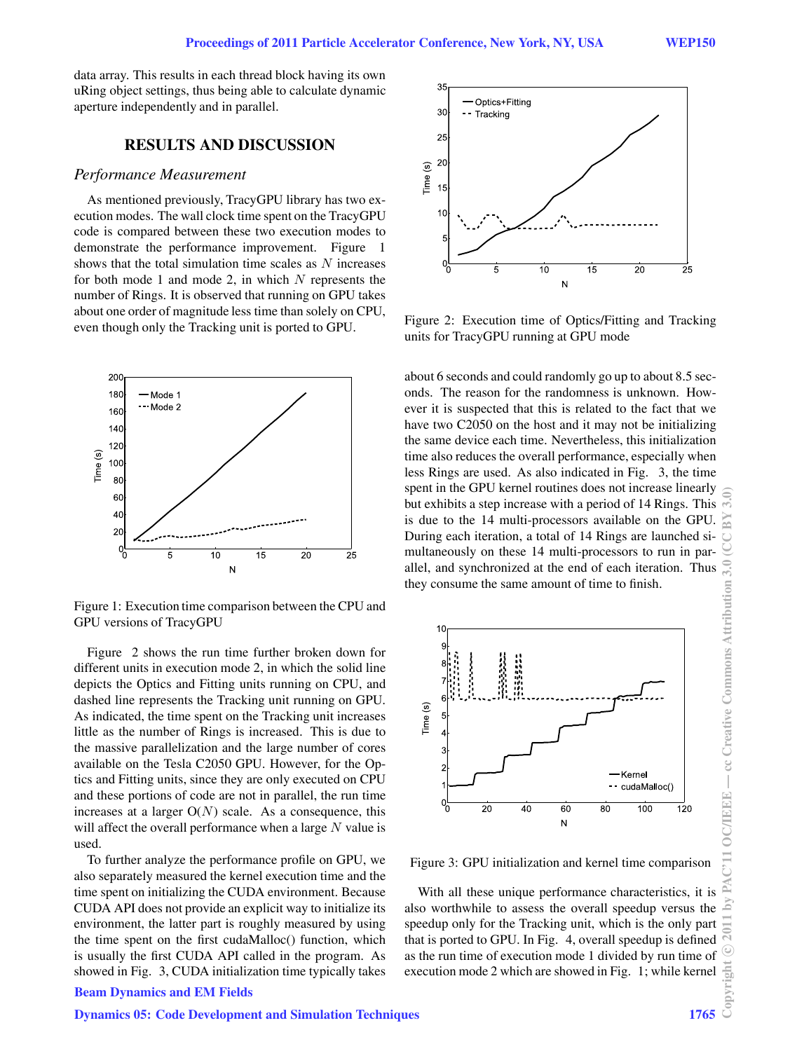data array. This results in each thread block having its own uRing object settings, thus being able to calculate dynamic aperture independently and in parallel.

## **RESULTS AND DISCUSSION**

#### *Performance Measurement*

As mentioned previously, TracyGPU library has two execution modes. The wall clock time spent on the TracyGPU code is compared between these two execution modes to demonstrate the performance improvement. Figure 1 shows that the total simulation time scales as *N* increases for both mode 1 and mode 2, in which *N* represents the number of Rings. It is observed that running on GPU takes about one order of magnitude less time than solely on CPU, even though only the Tracking unit is ported to GPU.



Figure 1: Execution time comparison between the CPU and GPU versions of TracyGPU

Figure 2 shows the run time further broken down for different units in execution mode 2, in which the solid line depicts the Optics and Fitting units running on CPU, and dashed line represents the Tracking unit running on GPU. As indicated, the time spent on the Tracking unit increases little as the number of Rings is increased. This is due to the massive parallelization and the large number of cores available on the Tesla C2050 GPU. However, for the Optics and Fitting units, since they are only executed on CPU and these portions of code are not in parallel, the run time increases at a larger  $O(N)$  scale. As a consequence, this will affect the overall performance when a large *N* value is used.

To further analyze the performance profile on GPU, we also separately measured the kernel execution time and the time spent on initializing the CUDA environment. Because CUDA API does not provide an explicit way to initialize its environment, the latter part is roughly measured by using the time spent on the first cudaMalloc() function, which is usually the first CUDA API called in the program. As showed in Fig. 3, CUDA initialization time typically takes

# Beam Dynamics and EM Fields

#### Dynamics 05: Code Development and Simulation Techniques 1765



Figure 2: Execution time of Optics/Fitting and Tracking units for TracyGPU running at GPU mode

about 6 seconds and could randomly go up to about 8.5 seconds. The reason for the randomness is unknown. However it is suspected that this is related to the fact that we have two C2050 on the host and it may not be initializing the same device each time. Nevertheless, this initialization time also reduces the overall performance, especially when less Rings are used. As also indicated in Fig. 3, the time spent in the GPU kernel routines does not increase linearly but exhibits a step increase with a period of 14 Rings. This is due to the 14 multi-processors available on the GPU. During each iteration, a total of 14 Rings are launched simultaneously on these 14 multi-processors to run in parallel, and synchronized at the end of each iteration. Thus they consume the same amount of time to finish.



Figure 3: GPU initialization and kernel time comparison

With all these unique performance characteristics, it is also worthwhile to assess the overall speedup versus the speedup only for the Tracking unit, which is the only part that is ported to GPU. In Fig. 4, overall speedup is defined as the run time of execution mode 1 divided by run time of execution mode 2 which are showed in Fig. 1; while kernel